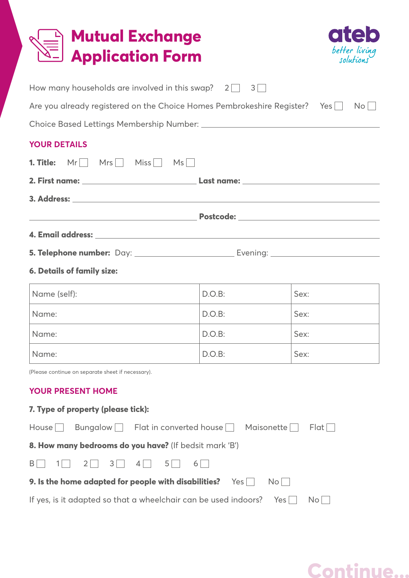| <b>Mutual Exchange</b><br><b>Application Form</b>                                | <b>20</b><br>better living<br>solutions |      |  |  |
|----------------------------------------------------------------------------------|-----------------------------------------|------|--|--|
| How many households are involved in this swap? $2 \mid 3 \mid 1$                 |                                         |      |  |  |
| Are you already registered on the Choice Homes Pembrokeshire Register? Yes No    |                                         |      |  |  |
|                                                                                  |                                         |      |  |  |
| <b>YOUR DETAILS</b>                                                              |                                         |      |  |  |
| <b>1. Title:</b> $Mr \t Mrs \t Miss \t Ms$                                       |                                         |      |  |  |
|                                                                                  |                                         |      |  |  |
|                                                                                  |                                         |      |  |  |
|                                                                                  |                                         |      |  |  |
|                                                                                  |                                         |      |  |  |
|                                                                                  |                                         |      |  |  |
| <b>6. Details of family size:</b>                                                |                                         |      |  |  |
| Name (self):                                                                     | D.O.B:                                  | Sex: |  |  |
| Name:                                                                            | D.O.B:                                  | Sex: |  |  |
| Name:                                                                            | D.O.B:                                  | Sex: |  |  |
| Name:                                                                            | D.O.B:                                  | Sex: |  |  |
| (Please continue on separate sheet if necessary).                                |                                         |      |  |  |
| <b>YOUR PRESENT HOME</b>                                                         |                                         |      |  |  |
| 7. Type of property (please tick):                                               |                                         |      |  |  |
| Bungalow     Flat in converted house    <br>Maisonette<br>House<br>Flat          |                                         |      |  |  |
| 8. How many bedrooms do you have? (If bedsit mark 'B')                           |                                         |      |  |  |
| $3 \mid \mid$<br>$2 \mid$<br>$4$  <br>$5$    <br>$6$    <br>B<br>$1 \mid$ $\mid$ |                                         |      |  |  |
| 9. Is the home adapted for people with disabilities? Yes<br>No                   |                                         |      |  |  |
| If yes, is it adapted so that a wheelchair can be used indoors?<br>Yes<br>No     |                                         |      |  |  |

## **Continue...**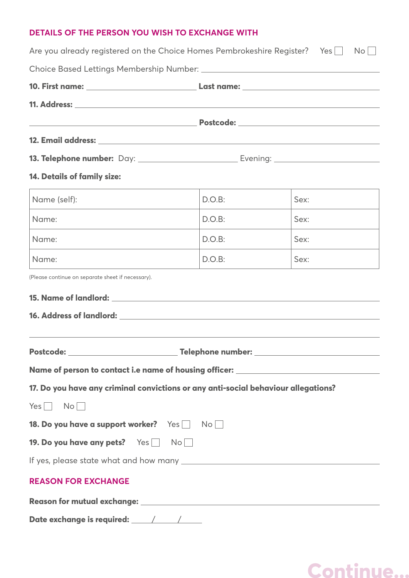## **DETAILS OF THE PERSON YOU WISH TO EXCHANGE WITH**

| Are you already registered on the Choice Homes Pembrokeshire Register? Yes $\Box$ No $\Box$                                                                                                                                              |        |      |
|------------------------------------------------------------------------------------------------------------------------------------------------------------------------------------------------------------------------------------------|--------|------|
|                                                                                                                                                                                                                                          |        |      |
|                                                                                                                                                                                                                                          |        |      |
|                                                                                                                                                                                                                                          |        |      |
|                                                                                                                                                                                                                                          |        |      |
|                                                                                                                                                                                                                                          |        |      |
|                                                                                                                                                                                                                                          |        |      |
| 14. Details of family size:                                                                                                                                                                                                              |        |      |
| Name (self):                                                                                                                                                                                                                             | D.O.B: | Sex: |
| Name:                                                                                                                                                                                                                                    | D.O.B: | Sex: |
| Name:                                                                                                                                                                                                                                    | D.O.B: | Sex: |
| Name:                                                                                                                                                                                                                                    | D.O.B: | Sex: |
| (Please continue on separate sheet if necessary).                                                                                                                                                                                        |        |      |
| 15. Name of landlord: The contract of the contract of the contract of the contract of the contract of the contract of the contract of the contract of the contract of the contract of the contract of the contract of the cont           |        |      |
| <b>16. Address of landlord:</b> <u>Andress of landlord:</u> Andress of landlord: Andress of landlord: Andress of landlord: Andress of landlord: Andress of landlord: Andress of landlord: Andress of landlord: Andress of landlord: Andr |        |      |
|                                                                                                                                                                                                                                          |        |      |
| Name of person to contact i.e name of housing officer: _________________________                                                                                                                                                         |        |      |
| 17. Do you have any criminal convictions or any anti-social behaviour allegations?                                                                                                                                                       |        |      |
| $Yes \Box No \Box$                                                                                                                                                                                                                       |        |      |
| 18. Do you have a support worker? Yes No                                                                                                                                                                                                 |        |      |
| 19. Do you have any pets? Yes No                                                                                                                                                                                                         |        |      |
|                                                                                                                                                                                                                                          |        |      |
| <b>REASON FOR EXCHANGE</b>                                                                                                                                                                                                               |        |      |
| Reason for mutual exchange: intermal content of the set of the set of the set of the set of the set of the set o                                                                                                                         |        |      |

Date exchange is required: <u>/ / / / / /</u>